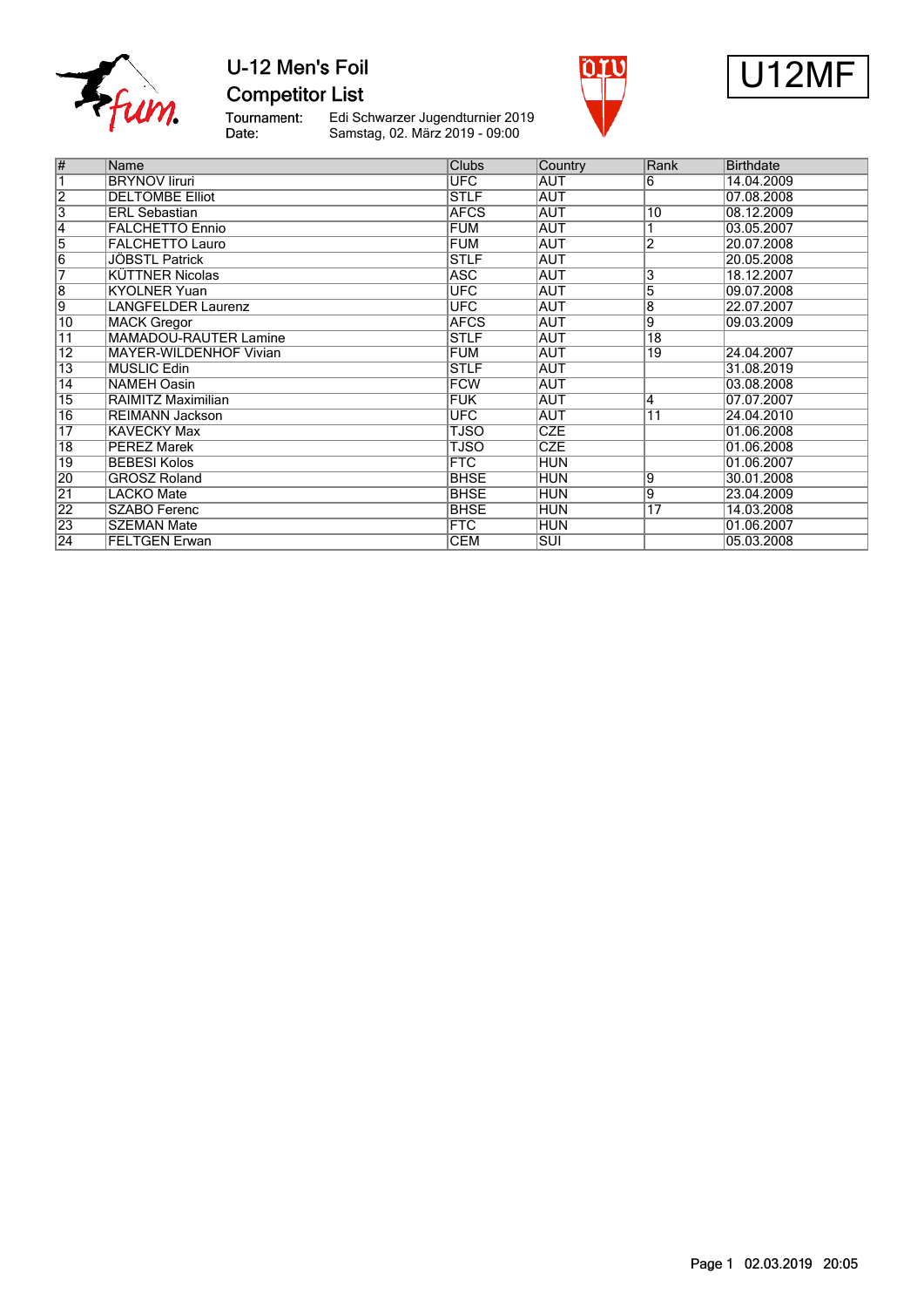

### U-12 Men's Foil **Competitor List**

Tournament:<br>Date:

Edi Schwarzer Jugendturnier 2019 Samstag, 02. März 2019 - 09:00





| $\overline{\#}$ | Name                          | <b>Clubs</b> | Country    | Rank            | <b>Birthdate</b> |
|-----------------|-------------------------------|--------------|------------|-----------------|------------------|
| 7               | <b>BRYNOV liruri</b>          | UFC          | <b>AUT</b> | 6               | 14.04.2009       |
| $\overline{2}$  | <b>DELTOMBE Elliot</b>        | <b>STLF</b>  | <b>AUT</b> |                 | 07.08.2008       |
| $\overline{3}$  | <b>ERL Sebastian</b>          | <b>AFCS</b>  | AUT        | $\overline{10}$ | 08.12.2009       |
| $\overline{4}$  | <b>FALCHETTO Ennio</b>        | <b>FUM</b>   | <b>AUT</b> |                 | 03.05.2007       |
| $\overline{5}$  | <b>FALCHETTO Lauro</b>        | <b>FUM</b>   | AUT        | 2               | 20.07.2008       |
| $\overline{6}$  | JÖBSTL Patrick                | <b>STLF</b>  | <b>AUT</b> |                 | 20.05.2008       |
| 7               | <b>KUTTNER Nicolas</b>        | <b>ASC</b>   | <b>AUT</b> | 3               | 18.12.2007       |
| $\overline{8}$  | <b>KYOLNER Yuan</b>           | UFC          | <b>AUT</b> | 5               | 09.07.2008       |
| $\overline{9}$  | LANGFELDER Laurenz            | <b>UFC</b>   | <b>AUT</b> | 8               | 22.07.2007       |
| 10              | <b>MACK Gregor</b>            | <b>AFCS</b>  | AUT        | 9               | 09.03.2009       |
| $\overline{11}$ | <b>MAMADOU-RAUTER Lamine</b>  | <b>STLF</b>  | <b>AUT</b> | $\overline{18}$ |                  |
| $\overline{12}$ | <b>MAYER-WILDENHOF Vivian</b> | <b>FUM</b>   | <b>AUT</b> | $\overline{19}$ | 24.04.2007       |
| $\overline{13}$ | <b>MUSLIC Edin</b>            | <b>STLF</b>  | <b>AUT</b> |                 | 31.08.2019       |
| 14              | <b>NAMEH Oasin</b>            | <b>FCW</b>   | <b>AUT</b> |                 | 03.08.2008       |
| $\overline{15}$ | RAIMITZ Maximilian            | <b>FUK</b>   | <b>AUT</b> | 4               | 07.07.2007       |
| $\overline{16}$ | <b>REIMANN Jackson</b>        | <b>UFC</b>   | <b>AUT</b> | $\overline{11}$ | 24.04.2010       |
| 17              | <b>KAVECKY Max</b>            | TJSO         | <b>CZE</b> |                 | 01.06.2008       |
| $\overline{18}$ | PÉREZ Marek                   | <b>TJSO</b>  | <b>CZE</b> |                 | 01.06.2008       |
| $\overline{19}$ | <b>BEBESI Kolos</b>           | <b>FTC</b>   | <b>HUN</b> |                 | 01.06.2007       |
| 20              | <b>GROSZ Roland</b>           | <b>BHSE</b>  | <b>HUN</b> | 9               | 30.01.2008       |
| $\overline{21}$ | LACKO Mate                    | <b>BHSE</b>  | <b>HUN</b> | 9               | 23.04.2009       |
| $\overline{22}$ | <b>SZABO Ferenc</b>           | <b>BHSE</b>  | <b>HUN</b> | 17              | 14.03.2008       |
| $\overline{23}$ | <b>SZEMAN Mate</b>            | <b>FTC</b>   | <b>HUN</b> |                 | 01.06.2007       |
| $\overline{24}$ | <b>FELTGEN Erwan</b>          | <b>CEM</b>   | SUI        |                 | 05.03.2008       |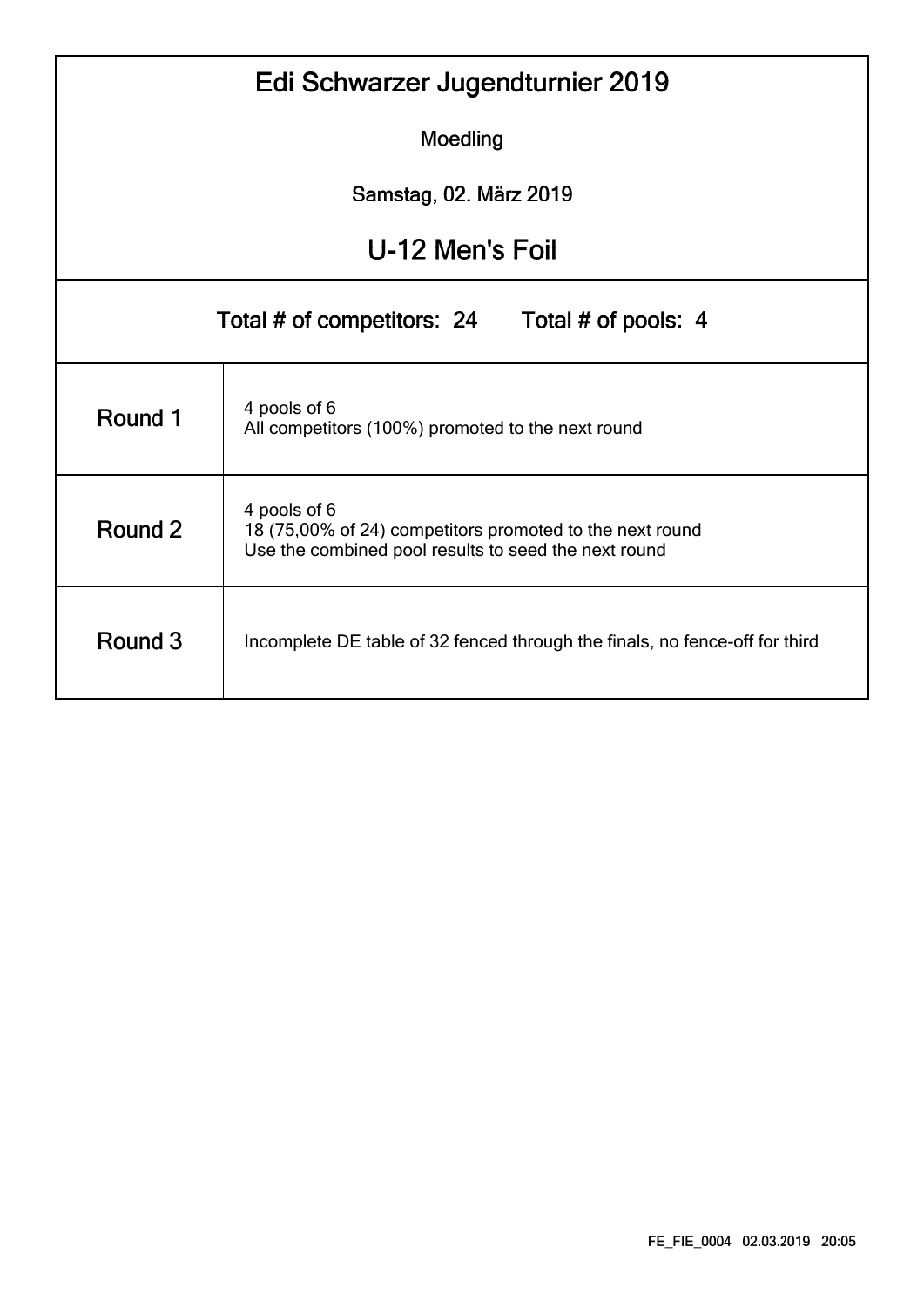|                                                                                                                                             | Edi Schwarzer Jugendturnier 2019                                            |  |  |  |  |  |  |  |  |  |  |
|---------------------------------------------------------------------------------------------------------------------------------------------|-----------------------------------------------------------------------------|--|--|--|--|--|--|--|--|--|--|
|                                                                                                                                             | Moedling                                                                    |  |  |  |  |  |  |  |  |  |  |
|                                                                                                                                             | Samstag, 02. März 2019                                                      |  |  |  |  |  |  |  |  |  |  |
| U-12 Men's Foil                                                                                                                             |                                                                             |  |  |  |  |  |  |  |  |  |  |
| Total # of competitors: 24<br>Total # of pools: 4                                                                                           |                                                                             |  |  |  |  |  |  |  |  |  |  |
| 4 pools of 6<br>Round 1<br>All competitors (100%) promoted to the next round                                                                |                                                                             |  |  |  |  |  |  |  |  |  |  |
| 4 pools of 6<br>Round 2<br>18 (75,00% of 24) competitors promoted to the next round<br>Use the combined pool results to seed the next round |                                                                             |  |  |  |  |  |  |  |  |  |  |
| Round 3                                                                                                                                     | Incomplete DE table of 32 fenced through the finals, no fence-off for third |  |  |  |  |  |  |  |  |  |  |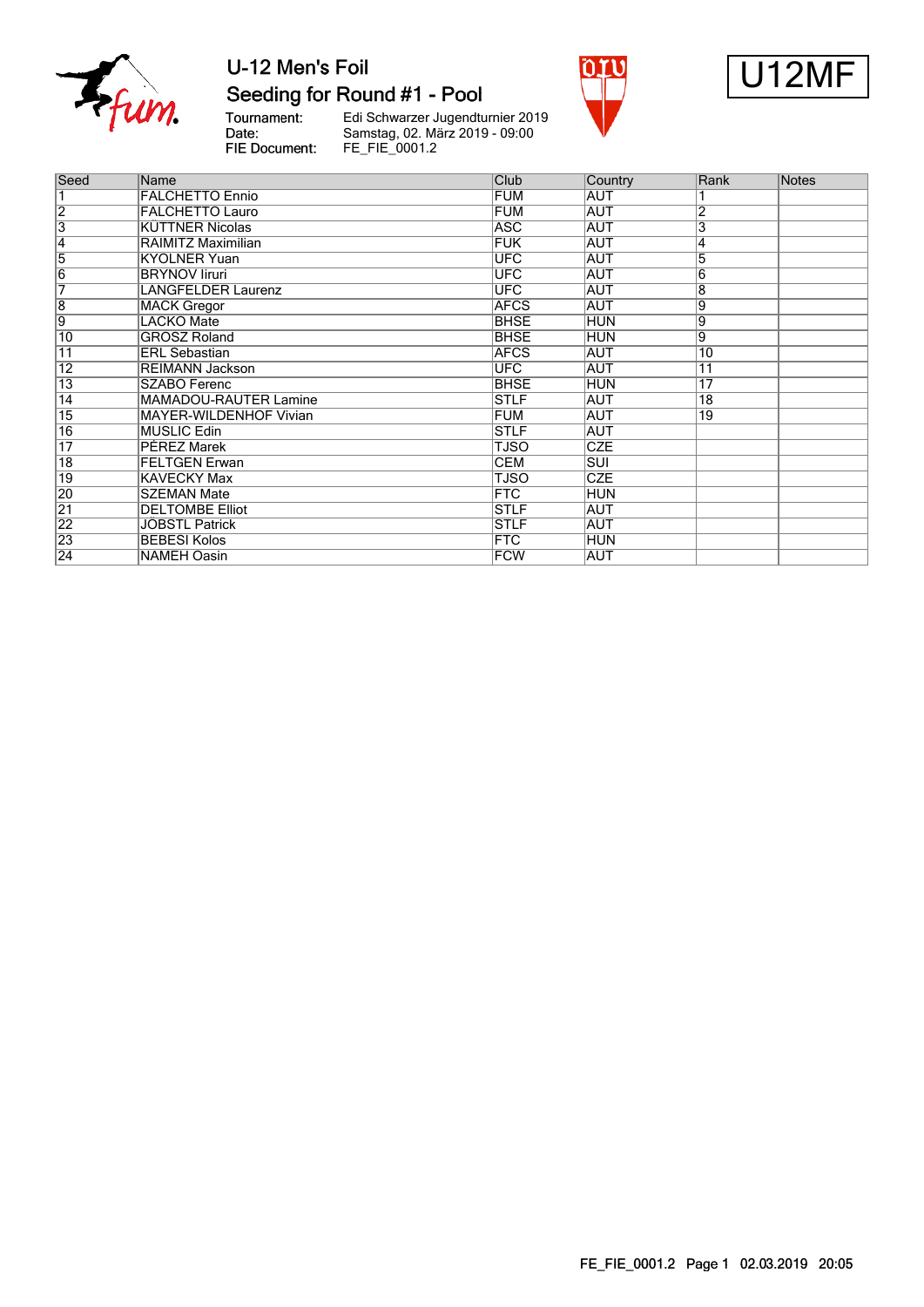

#### Seeding for Round #1 - Pool

Tournament:<br>Date: FIE Document:

Edi Schwarzer Jugendturnier 2019<br>Samstag, 02. März 2019 - 09:00<br>FE\_FIE\_0001.2





| Seed            | Name                         | Club        | Country    | Rank            | <b>Notes</b> |
|-----------------|------------------------------|-------------|------------|-----------------|--------------|
|                 | <b>FALCHETTO Ennio</b>       | <b>FUM</b>  | AUT        |                 |              |
| $\overline{2}$  | <b>FALCHETTO Lauro</b>       | <b>FUM</b>  | <b>AUT</b> | $\overline{2}$  |              |
| $\overline{3}$  | <b>KÜTTNER Nicolas</b>       | <b>ASC</b>  | <b>AUT</b> | 3               |              |
| $\overline{4}$  | RAIMITZ Maximilian           | <b>FUK</b>  | <b>AUT</b> | 4               |              |
| 5               | <b>KYOLNER Yuan</b>          | <b>UFC</b>  | AUT        | $\overline{5}$  |              |
| $\overline{6}$  | <b>BRYNOV liruri</b>         | <b>UFC</b>  | <b>AUT</b> | 6               |              |
| 7               | <b>LANGFELDER Laurenz</b>    | <b>UFC</b>  | <b>AUT</b> | $\overline{8}$  |              |
| $\overline{8}$  | <b>MACK Gregor</b>           | <b>AFCS</b> | <b>AUT</b> | 9               |              |
| $\overline{9}$  | <b>LACKO</b> Mate            | <b>BHSE</b> | HUN        | $\overline{9}$  |              |
| $\overline{10}$ | <b>GROSZ Roland</b>          | <b>BHSE</b> | HUN        | $\overline{9}$  |              |
| $\overline{11}$ | <b>ERL Sebastian</b>         | <b>AFCS</b> | <b>AUT</b> | $\overline{10}$ |              |
| $\overline{12}$ | <b>REIMANN Jackson</b>       | <b>UFC</b>  | IAUT       | $\overline{11}$ |              |
| $\overline{13}$ | <b>SZABO Ferenc</b>          | <b>BHSE</b> | HUN        | $\overline{17}$ |              |
| $\overline{14}$ | <b>MAMADOU-RAUTER Lamine</b> | <b>STLF</b> | AUT        | $\overline{18}$ |              |
| $\overline{15}$ | MAYER-WILDENHOF Vivian       | <b>FUM</b>  | <b>AUT</b> | 19              |              |
| 16              | <b>MUSLIC Edin</b>           | <b>STLF</b> | AUT        |                 |              |
| $\overline{17}$ | <b>PÉREZ Marek</b>           | <b>TJSO</b> | <b>CZE</b> |                 |              |
| $\overline{18}$ | <b>FELTGEN Erwan</b>         | <b>CEM</b>  | <b>SUI</b> |                 |              |
| 19              | <b>KAVECKY Max</b>           | TJSO        | <b>CZE</b> |                 |              |
| 20              | <b>SZEMAN Mate</b>           | <b>FTC</b>  | <b>HUN</b> |                 |              |
| $\overline{21}$ | <b>DELTOMBE Elliot</b>       | <b>STLF</b> | <b>AUT</b> |                 |              |
| 22              | JÖBSTL Patrick               | <b>STLF</b> | AUT        |                 |              |
| 23              | <b>BEBESI Kolos</b>          | <b>FTC</b>  | HUN        |                 |              |
| $\overline{24}$ | <b>NAMEH Oasin</b>           | <b>FCW</b>  | AUT        |                 |              |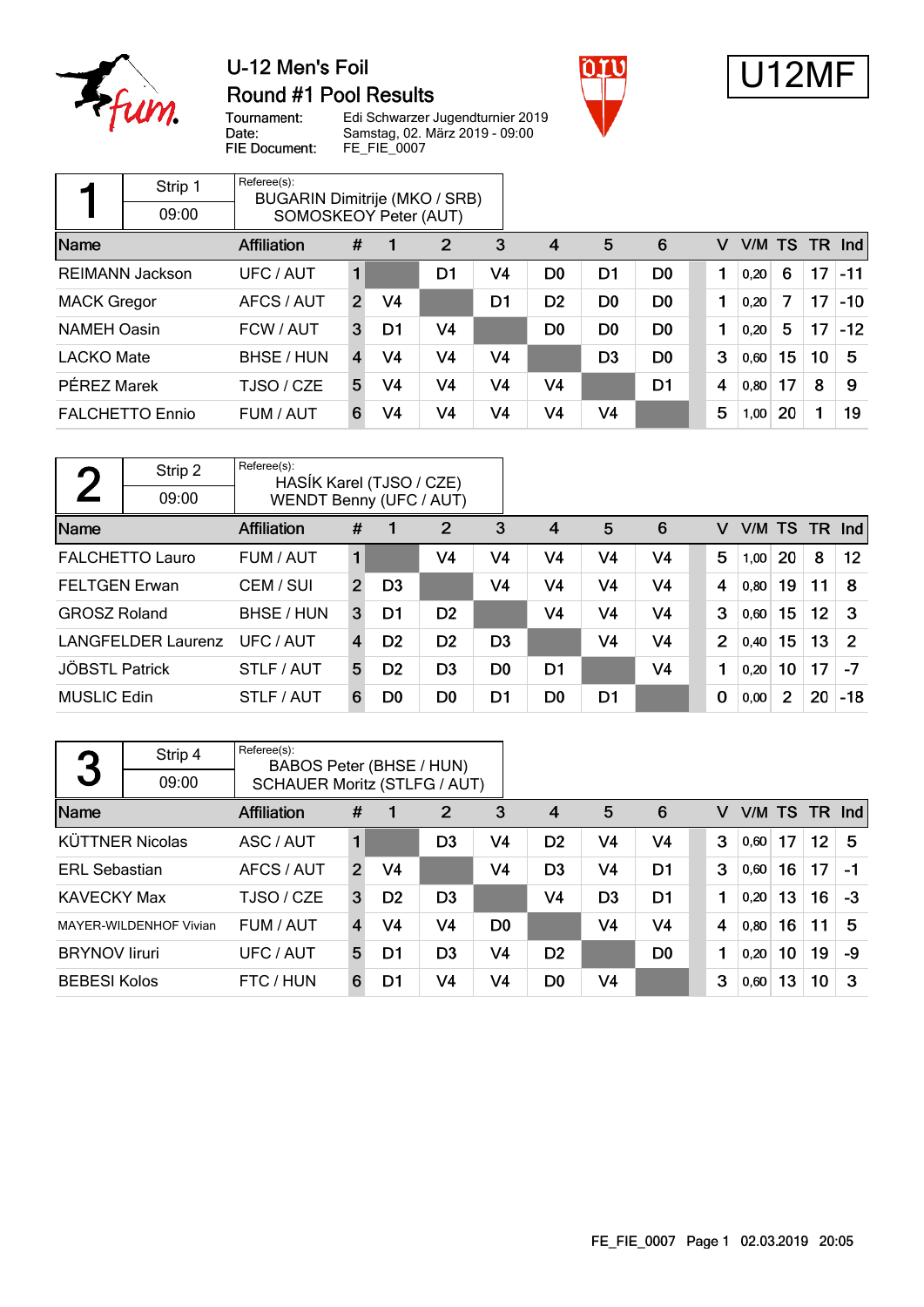

### U-12 Men's Foil **Round #1 Pool Results**





Tournament:<br>Date: FIE Document:

Edi Schwarzer Jugendturnier 2019 Samstag, 02. März 2019 - 09:00 FE\_FIE\_0007

|                    | Strip 1                | Referee(s):<br>BUGARIN Dimitrije (MKO / SRB) |                         |                |                |    |                |                |                |   |        |    |    |          |
|--------------------|------------------------|----------------------------------------------|-------------------------|----------------|----------------|----|----------------|----------------|----------------|---|--------|----|----|----------|
|                    | 09:00                  | SOMOSKEOY Peter (AUT)                        |                         |                |                |    |                |                |                |   |        |    |    |          |
| Name               |                        | Affiliation                                  | #                       |                | $\overline{2}$ | 3  | $\overline{4}$ | 5              | 6              | v | V/M TS |    |    | $TR$ Ind |
|                    | <b>REIMANN Jackson</b> | <b>UFC / AUT</b>                             |                         |                | D <sub>1</sub> | V4 | D <sub>0</sub> | D <sub>1</sub> | D <sub>0</sub> |   | 0.20   | 6  | 17 | $-11$    |
| <b>MACK Gregor</b> |                        | AFCS / AUT                                   | $\overline{2}$          | V4             |                | D1 | D <sub>2</sub> | D <sub>0</sub> | D <sub>0</sub> |   | 0,20   | 7  | 17 | $-10$    |
| <b>NAMEH Oasin</b> |                        | FCW / AUT                                    | 3                       | D1             | V4             |    | D <sub>0</sub> | D <sub>0</sub> | D <sub>0</sub> |   | 0,20   | 5  | 17 | $-12$    |
| <b>LACKO Mate</b>  |                        | BHSE / HUN                                   | $\overline{\mathbf{4}}$ | V4             | V4             | V4 |                | D <sub>3</sub> | D <sub>0</sub> | 3 | 0,60   | 15 | 10 | 5        |
| PÉREZ Marek        |                        | TJSO / CZE                                   | 5                       | V4             | V4             | V4 | V <sub>4</sub> |                | D <sub>1</sub> | 4 | 0.80   | 17 | 8  | 9        |
|                    | <b>FALCHETTO Ennio</b> | FUM / AUT                                    | 6                       | V <sub>4</sub> | V4             | V4 | V <sub>4</sub> | V4             |                | 5 | 1,00   | 20 | 1  | 19       |

| η                     | Strip 2                   | Referee(s):<br>HASIK Karel (TJSO / CZE) |                |                |                |                |                |                |                |              |      |                |                 |                |
|-----------------------|---------------------------|-----------------------------------------|----------------|----------------|----------------|----------------|----------------|----------------|----------------|--------------|------|----------------|-----------------|----------------|
|                       | 09:00                     | WENDT Benny (UFC / AUT)                 |                |                |                |                |                |                |                |              |      |                |                 |                |
| Name                  |                           | <b>Affiliation</b>                      | #              |                | $\overline{2}$ | 3              | $\overline{4}$ | 5              | 6              | v            |      | V/M TS TR      |                 | <b>Ind</b>     |
|                       | <b>FALCHETTO Lauro</b>    | FUM / AUT                               |                |                | V4             | V4             | V <sub>4</sub> | V4             | V <sub>4</sub> | 5            | 1,00 | <b>20</b>      | 8               | 12             |
| <b>FELTGEN Erwan</b>  |                           | CEM / SUI                               | $\overline{2}$ | D <sub>3</sub> |                | V <sub>4</sub> | V4             | V <sub>4</sub> | V <sub>4</sub> | 4            | 0,80 | 19             | 11              | -8             |
| <b>GROSZ Roland</b>   |                           | BHSE / HUN                              | 3              | D1             | D <sub>2</sub> |                | V4             | V <sub>4</sub> | V4             | 3            | 0,60 | 15             | 12 <sup>°</sup> | -3             |
|                       | <b>LANGFELDER Laurenz</b> | UFC/AUT                                 | 4              | D <sub>2</sub> | D <sub>2</sub> | D <sub>3</sub> |                | V <sub>4</sub> | V4             | $\mathbf{2}$ | 0.40 | 15             | 13              | $\overline{2}$ |
| <b>JÖBSTL Patrick</b> |                           | STLF / AUT                              | 5              | D <sub>2</sub> | D <sub>3</sub> | D <sub>0</sub> | D1             |                | V4             | 1            | 0,20 | 10             | 17              | $-7$           |
| <b>MUSLIC Edin</b>    |                           | STLF / AUT                              | 6              | D <sub>0</sub> | D <sub>0</sub> | D1             | D <sub>0</sub> | D <sub>1</sub> |                | $\mathbf 0$  | 0,00 | $\overline{2}$ | 20              | $-18$          |

| 3                    | Strip 4                | Referee(s):<br>BABOS Peter (BHSE / HUN) |                |                |                |                |                |                |                |   |               |    |         |      |
|----------------------|------------------------|-----------------------------------------|----------------|----------------|----------------|----------------|----------------|----------------|----------------|---|---------------|----|---------|------|
|                      | 09:00                  | <b>SCHAUER Moritz (STLFG / AUT)</b>     |                |                |                |                |                |                |                |   |               |    |         |      |
| Name                 |                        | Affiliation                             | #              |                | 2              | 3              | $\overline{4}$ | 5              | 6              | v | V/M TS TR Ind |    |         |      |
|                      | <b>KÜTTNER Nicolas</b> | ASC / AUT                               |                |                | D <sub>3</sub> | V4             | D <sub>2</sub> | V4             | V4             | 3 | 0,60          | 17 | $12 \,$ | 5    |
| <b>ERL Sebastian</b> |                        | AFCS / AUT                              | $\overline{2}$ | V4             |                | V4             | D <sub>3</sub> | V <sub>4</sub> | D1             | 3 | 0,60          | 16 | 17      | $-1$ |
| <b>KAVECKY Max</b>   |                        | TJSO / CZE                              | 3              | D <sub>2</sub> | D <sub>3</sub> |                | V4             | D <sub>3</sub> | D <sub>1</sub> | 1 | 0,20          | 13 | 16      | $-3$ |
|                      | MAYER-WILDENHOF Vivian | FUM / AUT                               | $\overline{4}$ | V4             | V <sub>4</sub> | D <sub>0</sub> |                | V <sub>4</sub> | V <sub>4</sub> | 4 | 0,80          | 16 | 11      | 5    |
| <b>BRYNOV liruri</b> |                        | UFC / AUT                               | 5              | D1             | D <sub>3</sub> | V4             | D <sub>2</sub> |                | D <sub>0</sub> | 1 | 0,20          | 10 | 19      | -9   |
| <b>BEBESI Kolos</b>  |                        | FTC / HUN                               | 6              | D1             | V4             | V4             | D <sub>0</sub> | V <sub>4</sub> |                | 3 | 0,60          | 13 | 10      | 3    |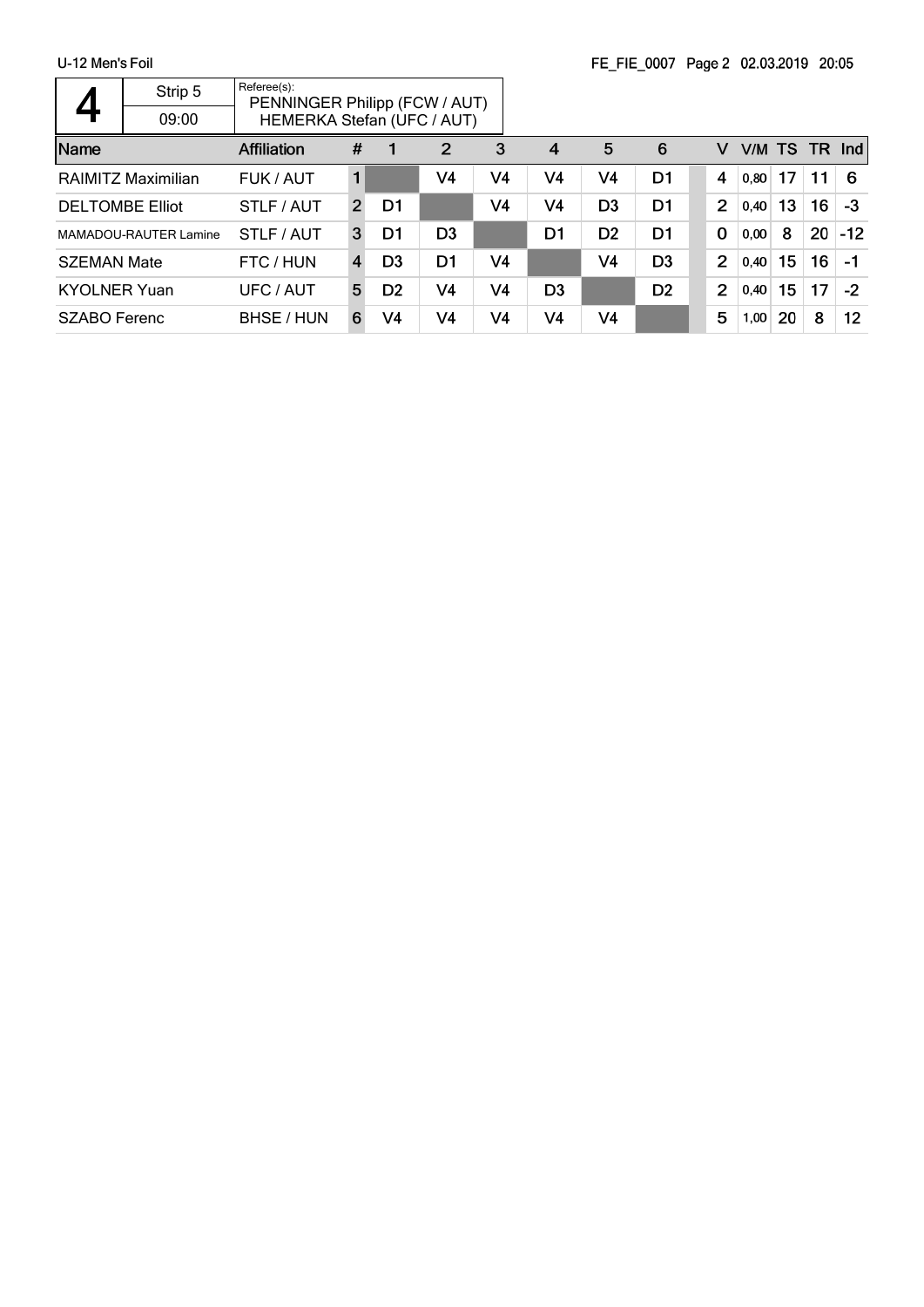|                        | Strip 5                      | Referee(s):<br>PENNINGER Philipp (FCW / AUT) |                |                |                |                |                |                |                |                |        |    |     |       |
|------------------------|------------------------------|----------------------------------------------|----------------|----------------|----------------|----------------|----------------|----------------|----------------|----------------|--------|----|-----|-------|
|                        | 09:00                        | HEMERKA Stefan (UFC / AUT)                   |                |                |                |                |                |                |                |                |        |    |     |       |
| <b>Name</b>            |                              | <b>Affiliation</b>                           | #              |                | 2              | 3              | 4              | 5              | 6              | v              | V/M TS |    | TR. | Ind   |
|                        | <b>RAIMITZ Maximilian</b>    | FUK / AUT                                    | 1              |                | V4             | V4             | V4             | V4             | D1             | 4              | 0,80   | 17 | 11  | 6     |
| <b>DELTOMBE Elliot</b> |                              | STLF / AUT                                   | $\overline{2}$ | D1             |                | V4             | V4             | D <sub>3</sub> | D1             | $\overline{2}$ | 0,40   | 13 | 16  | $-3$  |
|                        | <b>MAMADOU-RAUTER Lamine</b> | STLF / AUT                                   | 3              | D1             | D <sub>3</sub> |                | D1             | D <sub>2</sub> | D1             | $\mathbf 0$    | 0,00   | 8  | 20  | $-12$ |
| <b>SZEMAN Mate</b>     |                              | FTC / HUN                                    | 4              | D <sub>3</sub> | D1             | V <sub>4</sub> |                | V <sub>4</sub> | D <sub>3</sub> | $\overline{2}$ | 0,40   | 15 | 16  | $-1$  |
| <b>KYOLNER Yuan</b>    |                              | UFC / AUT                                    | 5              | D <sub>2</sub> | V <sub>4</sub> | V4             | D <sub>3</sub> |                | D <sub>2</sub> | $\overline{2}$ | 0,40   | 15 | 17  | $-2$  |
| SZABO Ferenc           |                              | BHSE / HUN                                   | 6              | V4             | V <sub>4</sub> | V4             | V4             | V <sub>4</sub> |                | 5              | 1,00   | 20 | 8   | 12    |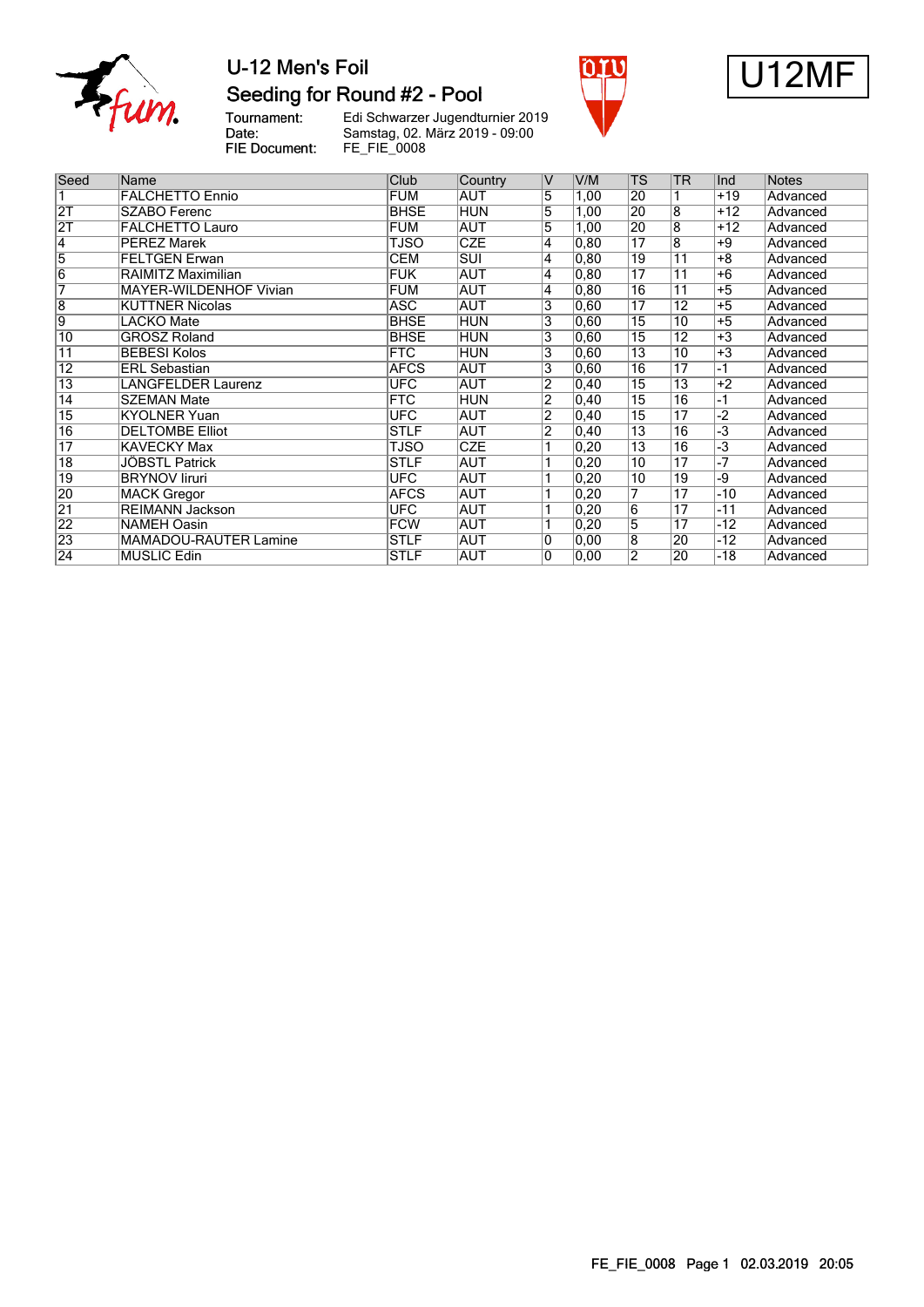

# Seeding for Round #2 - Pool





Tournament:<br>Date: Edi Schwarzer Jugendturnier 2019 Samstag, 02. März 2019 - 09:00 FIE Document: FE\_FIE\_0008

| Seed            | Name                          | Club        | Country                 | V              | V/M            | <b>TS</b>       | <b>TR</b>       | Ind             | <b>Notes</b> |
|-----------------|-------------------------------|-------------|-------------------------|----------------|----------------|-----------------|-----------------|-----------------|--------------|
|                 | <b>FALCHETTO Ennio</b>        | FUM         | <b>AUT</b>              | 5              | 1,00           | 20              |                 | $+19$           | Advanced     |
| 2T              | <b>SZABO Ferenc</b>           | <b>BHSE</b> | <b>HUN</b>              | 5              | 1,00           | 20              | $\overline{8}$  | $+12$           | Advanced     |
| $\overline{2T}$ | <b>FALCHETTO Lauro</b>        | <b>FUM</b>  | <b>AUT</b>              | 5              | 1,00           | 20              | $\overline{8}$  | $+12$           | Advanced     |
| $\overline{4}$  | <b>PÉREZ Marek</b>            | TJSO        | <b>CZE</b>              | 4              | 0, 80          | $\overline{17}$ | $\overline{8}$  | $+9$            | Advanced     |
| $\overline{5}$  | <b>FELTGEN Erwan</b>          | <b>CEM</b>  | $\overline{\text{SUI}}$ | 4              | 0, 80          | 19              | $\overline{11}$ | $+8$            | Advanced     |
| $\overline{6}$  | RAIMITZ Maximilian            | <b>FUK</b>  | AUT                     | 4              | 0, 80          | $\overline{17}$ | $\overline{11}$ | $+6$            | Advanced     |
| 7               | <b>MAYER-WILDENHOF Vivian</b> | <b>FUM</b>  | <b>AUT</b>              | 4              | 0,80           | 16              | $\overline{11}$ | $\overline{+5}$ | Advanced     |
| 8               | <b>KÜTTNER Nicolas</b>        | <b>ASC</b>  | <b>AUT</b>              | 3              | 0,60           | $\overline{17}$ | $\overline{12}$ | $+5$            | Advanced     |
| $\overline{9}$  | LACKO Mate                    | <b>BHSE</b> | <b>HUN</b>              | 3              | 0,60           | $\overline{15}$ | 10              | $+5$            | Advanced     |
| $\overline{10}$ | <b>GROSZ Roland</b>           | <b>BHSE</b> | <b>HUN</b>              | 3              | 0,60           | $\overline{15}$ | $\overline{12}$ | $+3$            | Advanced     |
| $\overline{11}$ | <b>BEBESI Kolos</b>           | <b>FTC</b>  | <b>HUN</b>              | 3              | 0,60           | $\overline{13}$ | 10              | $+3$            | Advanced     |
| $\overline{12}$ | <b>ERL</b> Sebastian          | <b>AFCS</b> | <b>AUT</b>              | 3              | 0,60           | $\overline{16}$ | $\overline{17}$ | $-1$            | Advanced     |
| $\overline{13}$ | <b>LANGFELDER Laurenz</b>     | <b>UFC</b>  | <b>AUT</b>              | 2              | $ 0,40\rangle$ | $\overline{15}$ | 13              | $+2$            | Advanced     |
| $\overline{14}$ | <b>SZEMAN Mate</b>            | <b>FTC</b>  | <b>HUN</b>              | 2              | $ 0,40\rangle$ | $\overline{15}$ | $\overline{16}$ | -1              | Advanced     |
| $\overline{15}$ | <b>KYOLNER Yuan</b>           | <b>UFC</b>  | <b>AUT</b>              | $\overline{2}$ | $ 0,40\rangle$ | $\overline{15}$ | $\overline{17}$ | -2              | Advanced     |
| $\overline{16}$ | <b>DELTOMBE Elliot</b>        | <b>STLF</b> | <b>AUT</b>              | $\overline{2}$ | $ 0,40\rangle$ | $\overline{13}$ | $\overline{16}$ | -3              | Advanced     |
| $\overline{17}$ | <b>KAVECKY Max</b>            | TJSO        | <b>CZE</b>              |                | 0,20           | $\overline{13}$ | $\overline{16}$ | -3              | Advanced     |
| $\overline{18}$ | JÖBSTL Patrick                | <b>STLF</b> | <b>AUT</b>              |                | $ 0,20\rangle$ | 10              | 17              | -7              | Advanced     |
| $\overline{19}$ | <b>BRYNOV liruri</b>          | <b>UFC</b>  | <b>AUT</b>              |                | $ 0,20\rangle$ | 10              | 19              | -9              | Advanced     |
| 20              | <b>MACK Gregor</b>            | <b>AFCS</b> | <b>AUT</b>              |                | 0,20           | 7               | 17              | -10             | Advanced     |
| $\overline{21}$ | <b>REIMANN Jackson</b>        | <b>UFC</b>  | AUT                     |                | $ 0,20\rangle$ | $\overline{6}$  | 17              | -11             | Advanced     |
| $\overline{22}$ | <b>NAMEH Oasin</b>            | <b>FCW</b>  | <b>AUT</b>              |                | $ 0,20\rangle$ | $\overline{5}$  | $\overline{17}$ | $-12$           | Advanced     |
| $\overline{23}$ | <b>MAMADOU-RAUTER Lamine</b>  | <b>STLF</b> | <b>AUT</b>              | $\mathbf{0}$   | 0,00           | $\overline{8}$  | 20              | $-12$           | Advanced     |
| $\overline{24}$ | <b>MUSLIC Edin</b>            | <b>STLF</b> | AUT                     | ۱O             | 0,00           | $\overline{2}$  | 20              | $-18$           | Advanced     |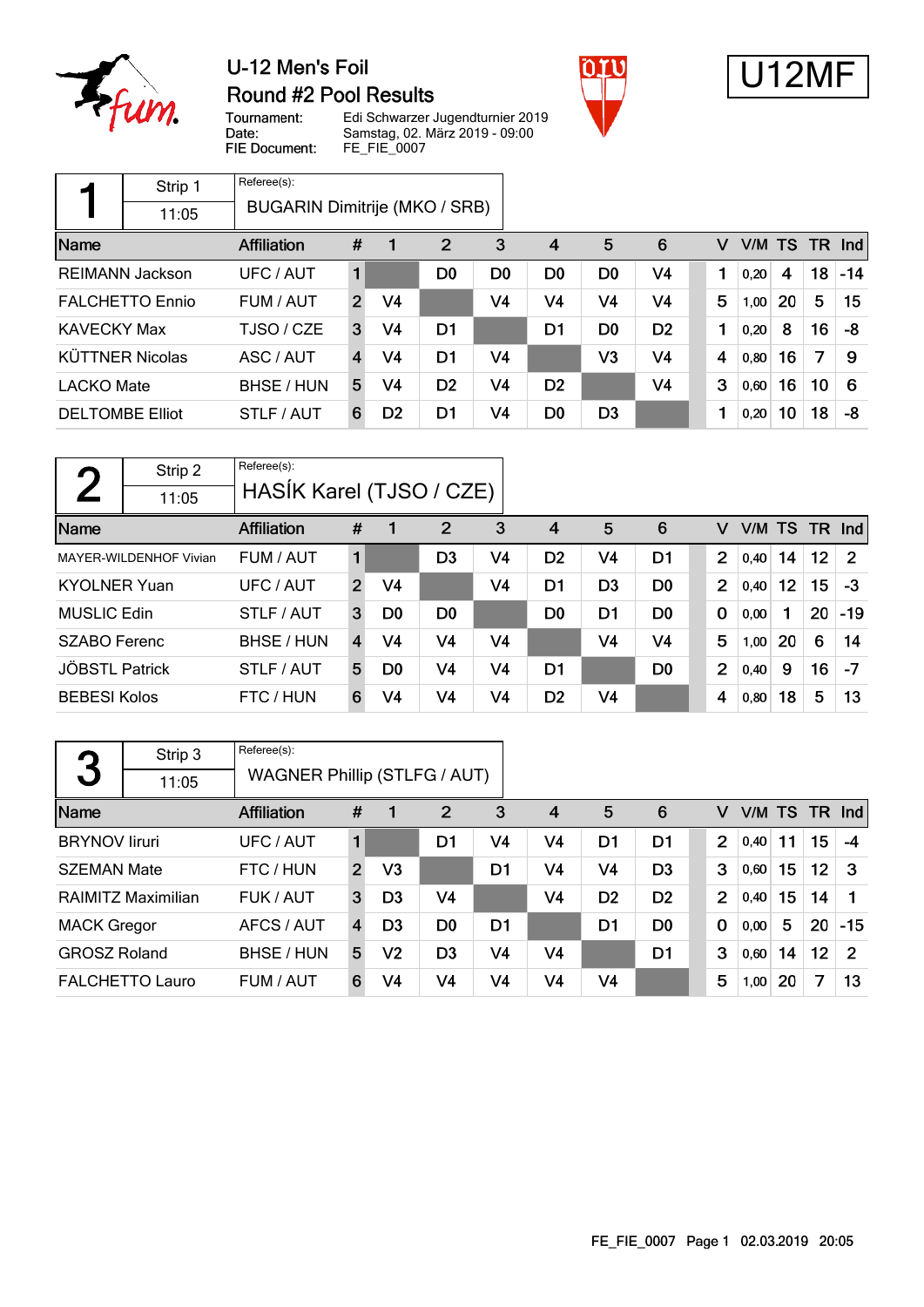

## U-12 Men's Foil Round #2 Pool Results





Tournament:<br>Date: FIE Document:

Edi Schwarzer Jugendturnier 2019 Samstag, 02. März 2019 - 09:00 FE\_FIE\_0007

|                        | Strip 1                | Referee(s):                   |                |                |                |                |                |                |                |   |           |    |    |         |
|------------------------|------------------------|-------------------------------|----------------|----------------|----------------|----------------|----------------|----------------|----------------|---|-----------|----|----|---------|
|                        | 11:05                  | BUGARIN Dimitrije (MKO / SRB) |                |                |                |                |                |                |                |   |           |    |    |         |
| Name                   |                        | <b>Affiliation</b>            | #              |                | $\overline{2}$ | 3              | $\overline{4}$ | 5              | 6              | v | V/M TS TR |    |    | $\ln d$ |
|                        | <b>REIMANN Jackson</b> | UFC / AUT                     | 1              |                | D <sub>0</sub> | D <sub>0</sub> | D <sub>0</sub> | D <sub>0</sub> | V <sub>4</sub> | 1 | 0.20      | 4  | 18 | $-14$   |
|                        | <b>FALCHETTO Ennio</b> | FUM / AUT                     | $\overline{2}$ | V <sub>4</sub> |                | V <sub>4</sub> | V4             | V4             | V4             | 5 | 1.00      | 20 | 5  | 15      |
| <b>KAVECKY Max</b>     |                        | TJSO / CZE                    | 3              | V4             | D1             |                | D <sub>1</sub> | D <sub>0</sub> | D <sub>2</sub> | 1 | 0.20      | 8  | 16 | -8      |
|                        | <b>KÜTTNER Nicolas</b> | ASC / AUT                     | 4              | V4             | D <sub>1</sub> | V <sub>4</sub> |                | V3             | V <sub>4</sub> | 4 | 0,80      | 16 | 7  | 9       |
| <b>LACKO Mate</b>      |                        | BHSE / HUN                    | 5              | V4             | D <sub>2</sub> | V4             | D <sub>2</sub> |                | V <sub>4</sub> | 3 | 0,60      | 16 | 10 | 6       |
| <b>DELTOMBE Elliot</b> |                        | STLF / AUT                    | 6              | D <sub>2</sub> | D <sub>1</sub> | V4             | D <sub>0</sub> | D <sub>3</sub> |                | ٠ | 0,20      | 10 | 18 | -8      |

| $\bigcap$             | Strip 2                | Referee(s):              |                |                |                |                |                |                |                |             |      |     |         |                |
|-----------------------|------------------------|--------------------------|----------------|----------------|----------------|----------------|----------------|----------------|----------------|-------------|------|-----|---------|----------------|
|                       | 11:05                  | HASIK Karel (TJSO / CZE) |                |                |                |                |                |                |                |             |      |     |         |                |
| Name                  |                        | Affiliation              | #              |                | 2              | 3              | $\overline{4}$ | 5              | 6              | v           | V/M  | TS. | TR.     | <b>Ind</b>     |
|                       | MAYER-WILDENHOF Vivian | FUM / AUT                | 1              |                | D3             | V4             | D <sub>2</sub> | V4             | D <sub>1</sub> | 2           | 0,40 | 14  | $12 \,$ | $\overline{2}$ |
| <b>KYOLNER Yuan</b>   |                        | UFC / AUT                | $\overline{2}$ | V4             |                | V4             | D1             | D <sub>3</sub> | D <sub>0</sub> | 2           | 0,40 | 12  | 15      | -3             |
| <b>MUSLIC Edin</b>    |                        | STLF / AUT               | 3              | D <sub>0</sub> | D <sub>0</sub> |                | D <sub>0</sub> | D <sub>1</sub> | D <sub>0</sub> | $\mathbf 0$ | 0,00 |     | 20      | $-19$          |
| <b>SZABO Ferenc</b>   |                        | BHSE / HUN               | $\overline{4}$ | V <sub>4</sub> | V4             | V4             |                | V4             | V4             | 5           | 1,00 | 20  | 6       | 14             |
| <b>JÖBSTL Patrick</b> |                        | STLF / AUT               | 5              | D0             | V4             | V <sub>4</sub> | D1             |                | D <sub>0</sub> | 2           | 0,40 | 9   | 16      | $-7$           |
| <b>BEBESI Kolos</b>   |                        | FTC / HUN                | 6              | V4             | V <sub>4</sub> | V <sub>4</sub> | D <sub>2</sub> | V <sub>4</sub> |                | 4           | 0,80 | 18  | 5       | 13             |

|                      | Strip 3                | Referee(s):                         |                |                |                |                |                |                |                |                |        |    |    |               |
|----------------------|------------------------|-------------------------------------|----------------|----------------|----------------|----------------|----------------|----------------|----------------|----------------|--------|----|----|---------------|
| 3                    | 11:05                  | <b>WAGNER Phillip (STLFG / AUT)</b> |                |                |                |                |                |                |                |                |        |    |    |               |
| Name                 |                        | <b>Affiliation</b>                  | #              |                | 2              | 3              | 4              | 5              | 6              | v              | V/M TS |    |    | $TR$ Ind      |
| <b>BRYNOV</b> liruri |                        | UFC / AUT                           | 1              |                | D1             | V <sub>4</sub> | V4             | D1             | D <sub>1</sub> | 2              | 0.40   | 11 | 15 | -4            |
| <b>SZEMAN Mate</b>   |                        | FTC / HUN                           | $\overline{2}$ | V <sub>3</sub> |                | D1             | V4             | V4             | D <sub>3</sub> | 3              | 0,60   | 15 | 12 | -3            |
|                      | RAIMITZ Maximilian     | FUK / AUT                           | 3              | D <sub>3</sub> | V <sub>4</sub> |                | V <sub>4</sub> | D <sub>2</sub> | D <sub>2</sub> | $\overline{2}$ | 0,40   | 15 | 14 |               |
| <b>MACK Gregor</b>   |                        | AFCS / AUT                          | 4              | D <sub>3</sub> | D <sub>0</sub> | D <sub>1</sub> |                | D <sub>1</sub> | D <sub>0</sub> | $\mathbf 0$    | 0,00   | 5  | 20 | $-15$         |
| <b>GROSZ Roland</b>  |                        | BHSE / HUN                          | 5              | V2             | D <sub>3</sub> | V <sub>4</sub> | V4             |                | D <sub>1</sub> | 3              | 0,60   | 14 | 12 | $\mathcal{P}$ |
|                      | <b>FALCHETTO Lauro</b> | FUM / AUT                           | 6              | V4             | V4             | V <sub>4</sub> | V4             | V4             |                | 5              | 1,00   | 20 | 7  | 13            |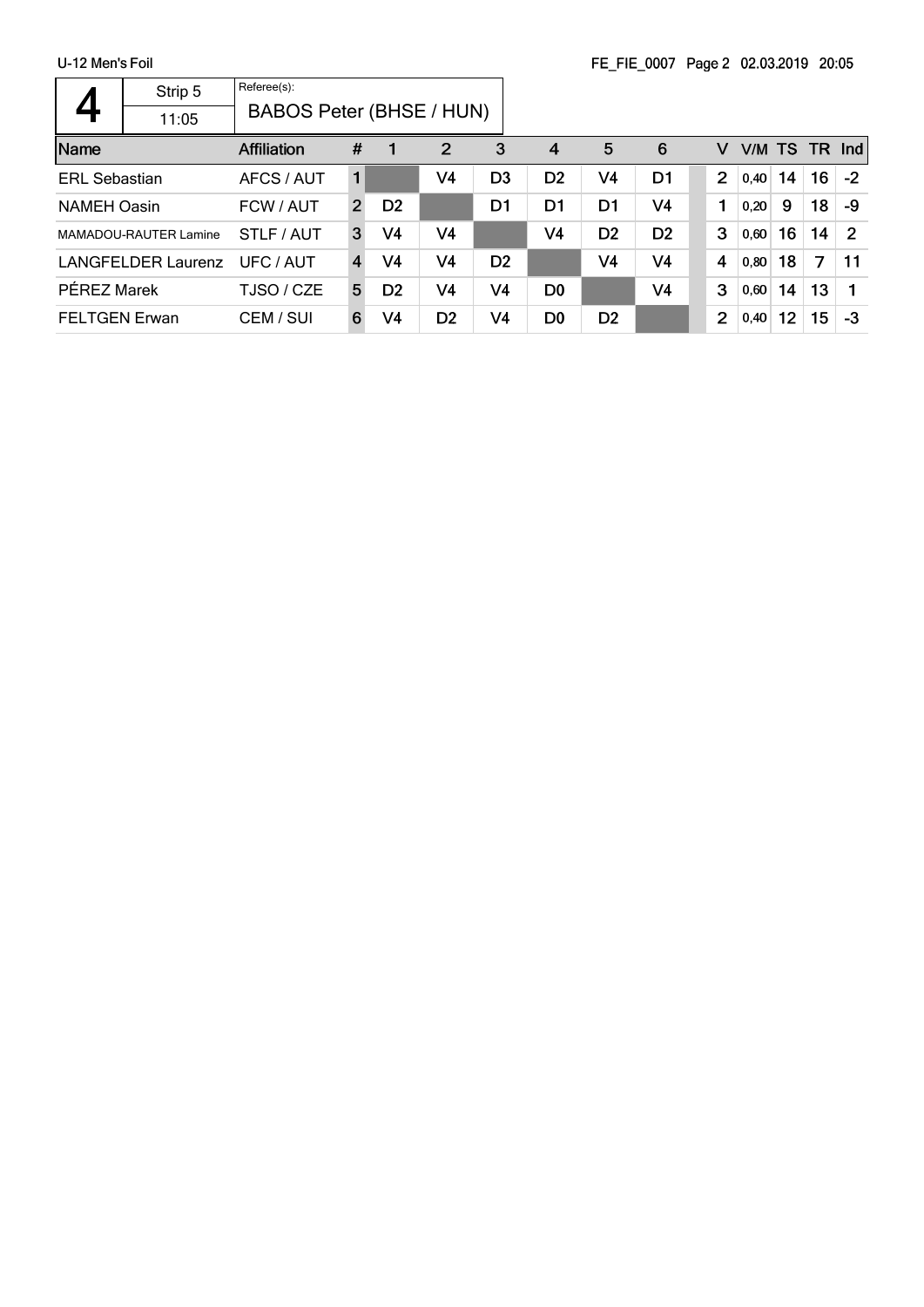|                      | Strip 5                      | Referee(s):                     |               |                |                |                |                |                |                |                |        |    |    |                |
|----------------------|------------------------------|---------------------------------|---------------|----------------|----------------|----------------|----------------|----------------|----------------|----------------|--------|----|----|----------------|
|                      | 11:05                        | <b>BABOS Peter (BHSE / HUN)</b> |               |                |                |                |                |                |                |                |        |    |    |                |
| Name                 |                              | <b>Affiliation</b>              | #             |                | $\overline{2}$ | 3              | 4              | 5              | 6              | v              | V/M TS |    |    | $TR$ Ind       |
| <b>ERL Sebastian</b> |                              | AFCS / AUT                      | 1             |                | V4             | D <sub>3</sub> | D <sub>2</sub> | V4             | D1             | $\overline{2}$ | 0.40   | 14 | 16 | $-2$           |
| <b>NAMEH Oasin</b>   |                              | FCW / AUT                       | $\mathcal{P}$ | D <sub>2</sub> |                | D <sub>1</sub> | D1             | D <sub>1</sub> | V4             | 1              | 0,20   | 9  | 18 | -9             |
|                      | <b>MAMADOU-RAUTER Lamine</b> | STLF / AUT                      | 3             | V4             | V <sub>4</sub> |                | V4             | D <sub>2</sub> | D <sub>2</sub> | 3              | 0,60   | 16 | 14 | $\overline{2}$ |
|                      | <b>LANGFELDER Laurenz</b>    | UFC / AUT                       | 4             | V4             | V4             | D <sub>2</sub> |                | V4             | V4             | 4              | 0,80   | 18 | 7  | 11             |
| PÉREZ Marek          |                              | TJSO / CZE                      | 5             | D <sub>2</sub> | V4             | V4             | D <sub>0</sub> |                | V <sub>4</sub> | 3              | 0,60   | 14 | 13 |                |
| <b>FELTGEN Erwan</b> |                              | CEM / SUI                       | 6             | V4             | D <sub>2</sub> | V4             | D <sub>0</sub> | D <sub>2</sub> |                | $\overline{2}$ | 0,40   | 12 | 15 | $-3$           |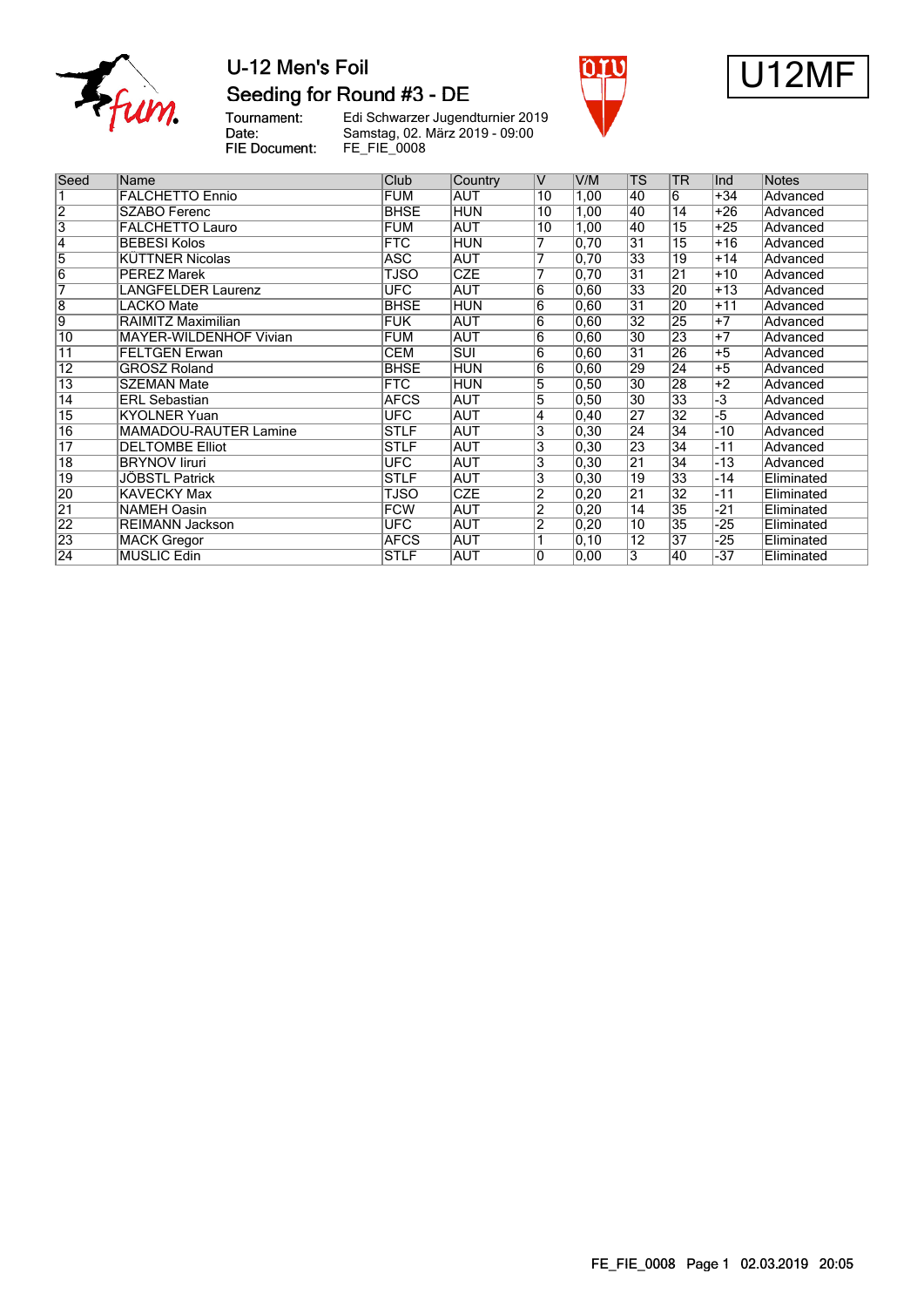

## U-12 Men's Foil Seeding for Round #3 - DE





Tournament:<br>Date: Edi Schwarzer Jugendturnier 2019 Samstag, 02. März 2019 - 09:00 FIE Document: FE\_FIE\_0008

| Seed            | Name                         | <b>Club</b> | Country    | lV              | V/M            | <b>TS</b>       | <b>TR</b>       | Ind   | <b>Notes</b> |
|-----------------|------------------------------|-------------|------------|-----------------|----------------|-----------------|-----------------|-------|--------------|
|                 | <b>FALCHETTO Ennio</b>       | <b>FUM</b>  | <b>AUT</b> | 10              | 1,00           | 40              | 6               | $+34$ | Advanced     |
| $\overline{2}$  | SZABO Ferenc                 | <b>BHSE</b> | <b>HUN</b> | 10              | 1,00           | 40              | $\overline{14}$ | $+26$ | Advanced     |
| $\overline{3}$  | <b>FALCHETTO Lauro</b>       | <b>FUM</b>  | <b>AUT</b> | 10              | 1,00           | 40              | $\overline{15}$ | $+25$ | Advanced     |
| $\overline{4}$  | <b>BEBESI Kolos</b>          | <b>FTC</b>  | <b>HUN</b> | 7               | 0,70           | $\overline{31}$ | $\overline{15}$ | $+16$ | Advanced     |
| 5               | <b>KÜTTNER Nicolas</b>       | <b>ASC</b>  | <b>AUT</b> | 7               | 0,70           | 33              | 19              | $+14$ | Advanced     |
| $\overline{6}$  | <b>PÉREZ Marek</b>           | <b>TJSO</b> | <b>CZE</b> | 7               | 0,70           | $\overline{31}$ | $\overline{21}$ | $+10$ | Advanced     |
| $\overline{7}$  | <b>LANGFELDER Laurenz</b>    | <b>UFC</b>  | <b>AUT</b> | 6               | 0,60           | 33              | 20              | $+13$ | Advanced     |
| $\overline{8}$  | LACKO Mate                   | <b>BHSE</b> | <b>HUN</b> | 6               | 0,60           | $\overline{31}$ | 20              | $+11$ | Advanced     |
| $\overline{9}$  | RAIMITZ Maximilian           | <b>FUK</b>  | <b>AUT</b> | 6               | 0,60           | $\overline{32}$ | 25              | $+7$  | Advanced     |
| 10              | MAYER-WILDENHOF Vivian       | <b>FUM</b>  | <b>AUT</b> | $6\overline{6}$ | 0,60           | 30              | 23              | $+7$  | Advanced     |
| $\overline{11}$ | <b>FELTGEN Erwan</b>         | <b>CEM</b>  | <b>SUI</b> | 6               | 0,60           | 31              | 26              | $+5$  | Advanced     |
| $\overline{12}$ | <b>GROSZ Roland</b>          | <b>BHSE</b> | <b>HUN</b> | 6               | 0,60           | 29              | 24              | $+5$  | Advanced     |
| $\overline{13}$ | <b>SZEMAN Mate</b>           | <b>FTC</b>  | <b>HUN</b> | 5               | 0, 50          | $\overline{30}$ | 28              | $+2$  | Advanced     |
| $\overline{14}$ | <b>ERL Sebastian</b>         | <b>AFCS</b> | <b>AUT</b> | 5               | 0, 50          | $\overline{30}$ | $\overline{33}$ | $-3$  | Advanced     |
| $\overline{15}$ | <b>KYOLNER Yuan</b>          | <b>UFC</b>  | AUT        | 4               | $ 0,40\rangle$ | 27              | $\overline{32}$ | $-5$  | Advanced     |
| $\overline{16}$ | <b>MAMADOU-RAUTER Lamine</b> | <b>STLF</b> | <b>AUT</b> | 3               | $ 0,30\rangle$ | 24              | $\overline{34}$ | $-10$ | Advanced     |
| 17              | <b>DELTOMBE Elliot</b>       | <b>STLF</b> | AUT        | 3               | $ 0,30\rangle$ | 23              | $\overline{34}$ | $-11$ | Advanced     |
| $\overline{18}$ | <b>BRYNOV liruri</b>         | UFC.        | <b>AUT</b> | 3               | 0,30           | 21              | $\overline{34}$ | $-13$ | Advanced     |
| 19              | <b>JÖBSTL Patrick</b>        | <b>STLF</b> | <b>AUT</b> | 3               | 0,30           | $\overline{19}$ | $\overline{33}$ | $-14$ | Eliminated   |
| 20              | KAVECKY Max                  | TJSO        | <b>CZE</b> | $\overline{2}$  | 0, 20          | 21              | $\overline{32}$ | $-11$ | Eliminated   |
| $\overline{21}$ | NAMEH Oasin                  | <b>FCW</b>  | AUT        | $\overline{2}$  | $ 0,20\rangle$ | $\overline{14}$ | $\overline{35}$ | -21   | Eliminated   |
| $\overline{22}$ | <b>REIMANN Jackson</b>       | <b>UFC</b>  | AUT        | $\overline{2}$  | 0, 20          | $\overline{10}$ | $\overline{35}$ | $-25$ | Eliminated   |
| 23              | MACK Gregor                  | <b>AFCS</b> | AUT        |                 | 0, 10          | $\overline{12}$ | 37              | -25   | Eliminated   |
| $\overline{24}$ | <b>MUSLIC Edin</b>           | <b>STLF</b> | <b>AUT</b> | 10              | 0,00           | $\overline{3}$  | 40              | $-37$ | Eliminated   |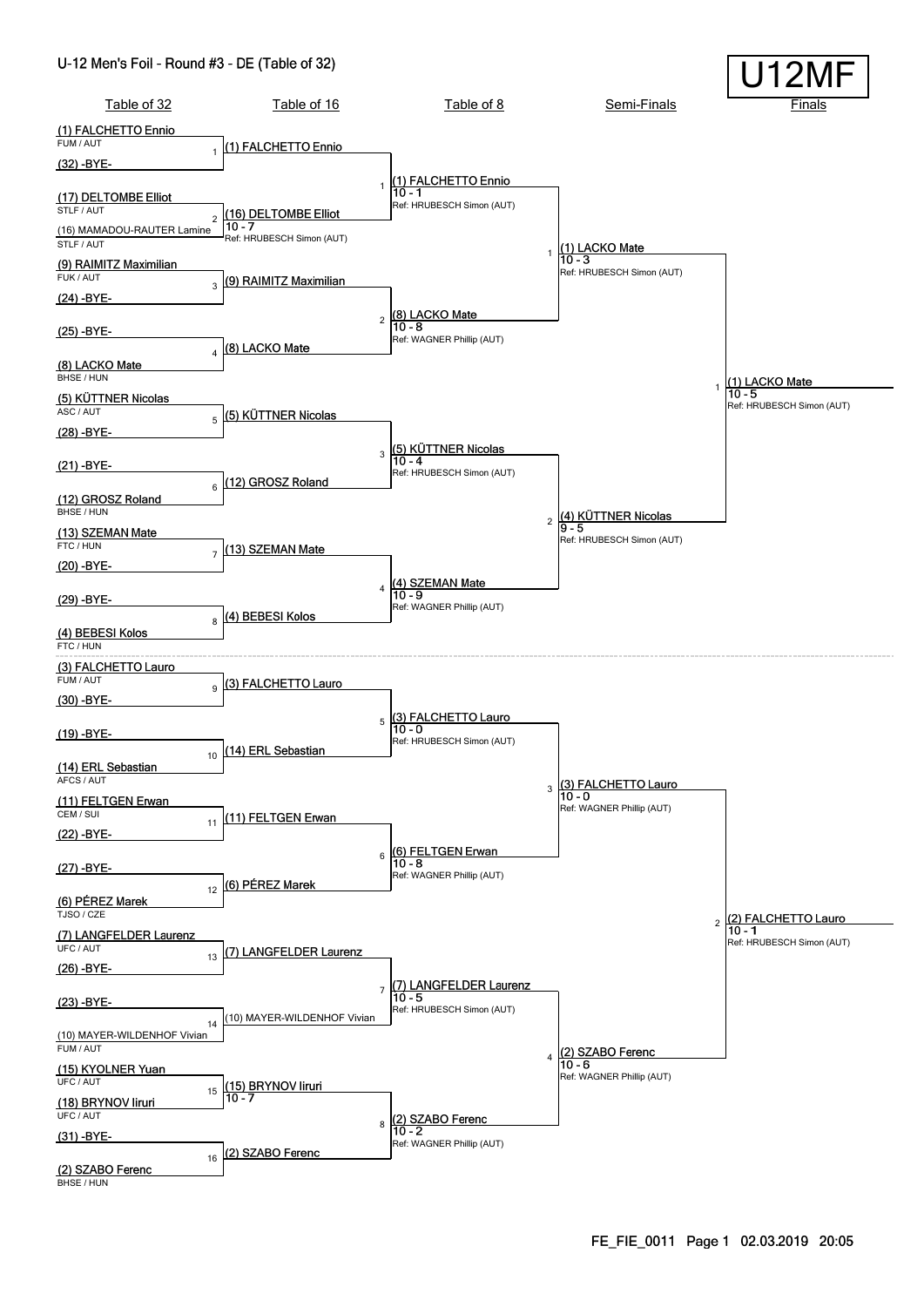#### U-12 Men's Foil - Round #3 - DE (Table of 32)

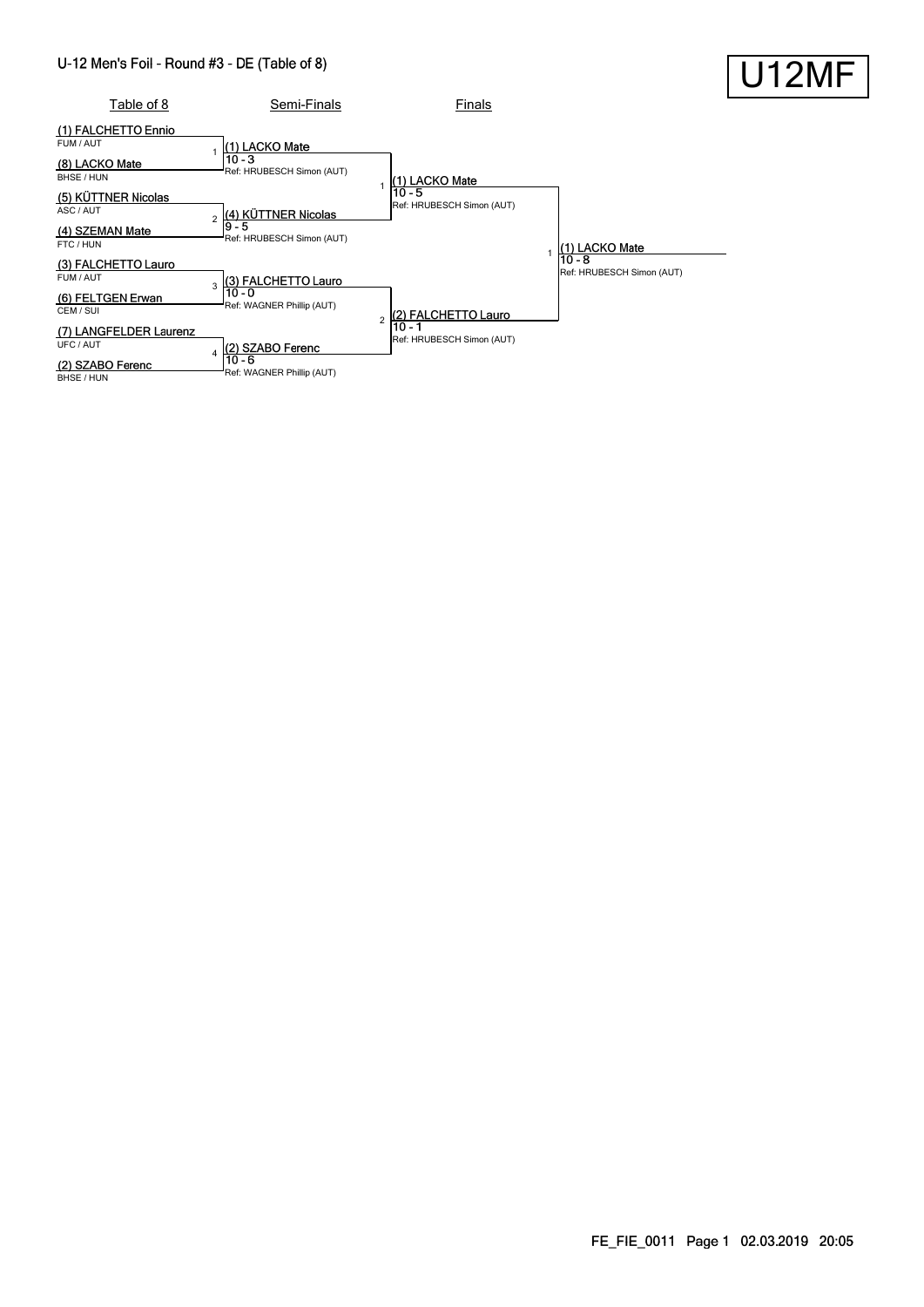#### U-12 Men's Foil - Round #3 - DE (Table of 8)

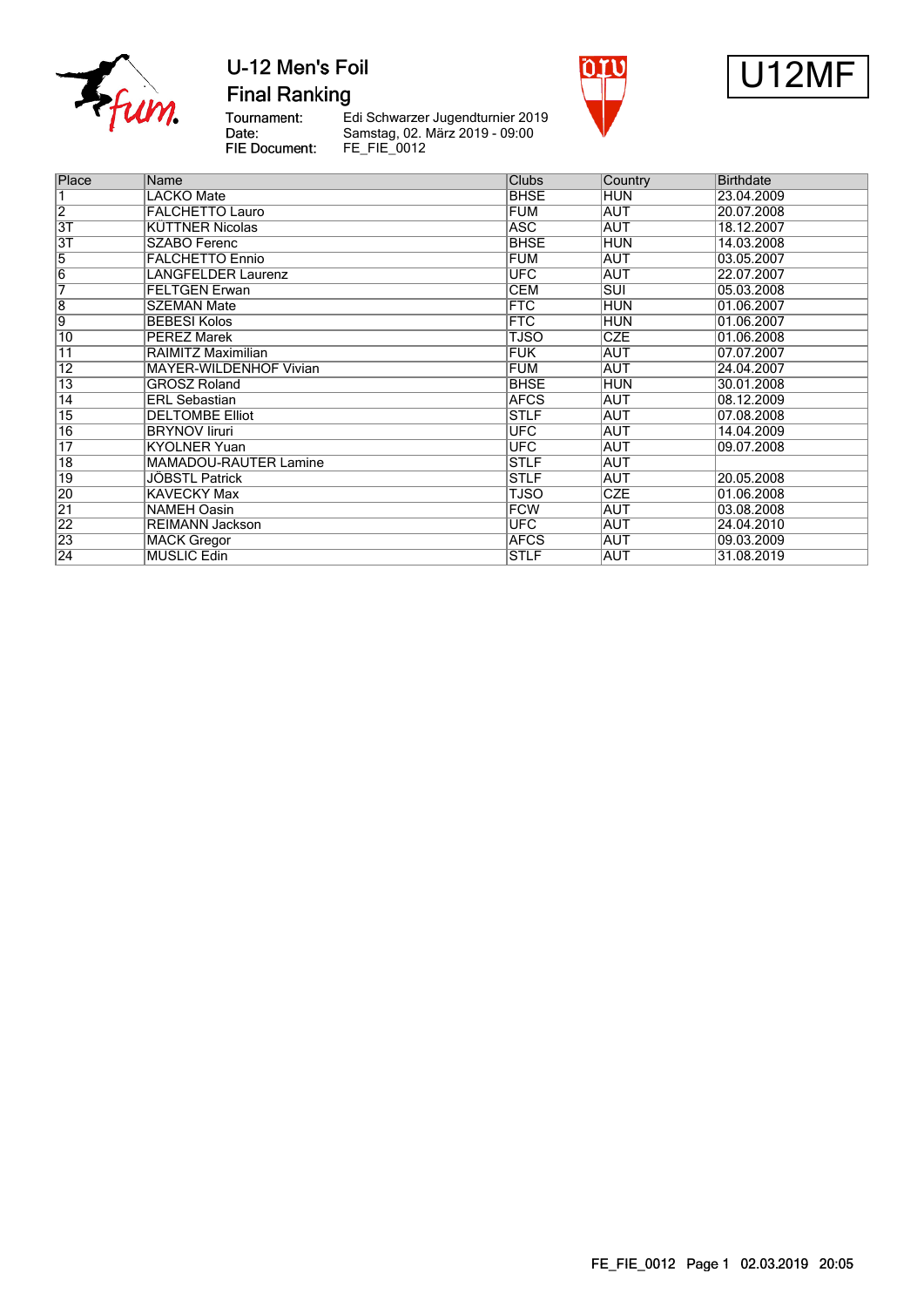

**Final Ranking** 





Tournament:<br>Date: FIE Document:

Le Schwarzer Jugendturnier 2019<br>Samstag, 02. März 2019 - 09:00<br>FE\_FIE\_0012

| Place           | Name                          | <b>Clubs</b> | Country    | Birthdate  |
|-----------------|-------------------------------|--------------|------------|------------|
| 1               | <b>LACKO Mate</b>             | <b>BHSE</b>  | <b>HUN</b> | 23.04.2009 |
| $\overline{2}$  | <b>FALCHETTO Lauro</b>        | <b>FUM</b>   | <b>AUT</b> | 20.07.2008 |
| $\overline{3T}$ | <b>KÜTTNER Nicolas</b>        | <b>ASC</b>   | <b>AUT</b> | 18.12.2007 |
| 3T              | <b>SZABO Ferenc</b>           | <b>BHSE</b>  | <b>HUN</b> | 14.03.2008 |
| $\overline{5}$  | <b>FALCHETTO Ennio</b>        | <b>FUM</b>   | <b>AUT</b> | 03.05.2007 |
| $\overline{6}$  | <b>LANGFELDER Laurenz</b>     | <b>UFC</b>   | <b>AUT</b> | 22.07.2007 |
| 7               | <b>FELTGEN Erwan</b>          | <b>CEM</b>   | <b>SUI</b> | 05.03.2008 |
| $\overline{8}$  | <b>SZEMAN Mate</b>            | <b>FTC</b>   | <b>HUN</b> | 01.06.2007 |
| $\overline{9}$  | <b>BEBESI Kolos</b>           | <b>FTC</b>   | <b>HUN</b> | 01.06.2007 |
| 10              | <b>PÉREZ Marek</b>            | <b>TJSO</b>  | <b>CZE</b> | 01.06.2008 |
| 11              | RAIMITZ Maximilian            | <b>FUK</b>   | <b>AUT</b> | 07.07.2007 |
| $\overline{12}$ | <b>MAYER-WILDENHOF Vivian</b> | <b>FUM</b>   | <b>AUT</b> | 24.04.2007 |
| $\overline{13}$ | <b>GROSZ Roland</b>           | <b>BHSE</b>  | <b>HUN</b> | 30.01.2008 |
| 14              | <b>ERL Sebastian</b>          | <b>AFCS</b>  | <b>AUT</b> | 08.12.2009 |
| $\overline{15}$ | <b>DELTOMBE Elliot</b>        | <b>STLF</b>  | <b>AUT</b> | 07.08.2008 |
| 16              | <b>BRYNOV liruri</b>          | <b>UFC</b>   | <b>AUT</b> | 14.04.2009 |
| 17              | <b>KYOLNER Yuan</b>           | <b>UFC</b>   | <b>AUT</b> | 09.07.2008 |
| $\overline{18}$ | <b>MAMADOU-RAUTER Lamine</b>  | <b>STLF</b>  | <b>AUT</b> |            |
| $\overline{19}$ | <b>JÖBSTL Patrick</b>         | <b>STLF</b>  | <b>AUT</b> | 20.05.2008 |
| 20              | <b>KAVECKY Max</b>            | TJSO         | <b>CZE</b> | 01.06.2008 |
| $\overline{21}$ | <b>NAMEH Oasin</b>            | <b>FCW</b>   | AUT        | 03.08.2008 |
| $\overline{22}$ | <b>REIMANN Jackson</b>        | <b>UFC</b>   | AUT        | 24.04.2010 |
| $\overline{23}$ | <b>MACK Gregor</b>            | <b>AFCS</b>  | AUT        | 09.03.2009 |
| $\overline{24}$ | <b>MUSLIC Edin</b>            | <b>STLF</b>  | <b>AUT</b> | 31.08.2019 |